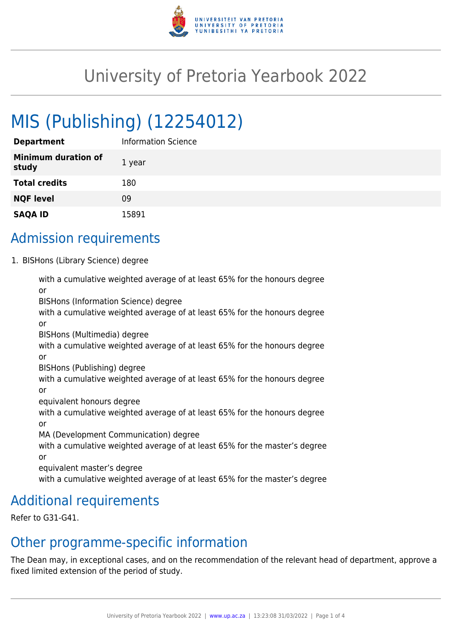

# University of Pretoria Yearbook 2022

# MIS (Publishing) (12254012)

| <b>Department</b>                   | Information Science |
|-------------------------------------|---------------------|
| <b>Minimum duration of</b><br>study | 1 year              |
| <b>Total credits</b>                | 180                 |
| <b>NQF level</b>                    | 09                  |
| <b>SAQA ID</b>                      | 15891               |

## Admission requirements

1. BISHons (Library Science) degree

with a cumulative weighted average of at least 65% for the honours degree or BISHons (Information Science) degree with a cumulative weighted average of at least 65% for the honours degree or BISHons (Multimedia) degree with a cumulative weighted average of at least 65% for the honours degree or BISHons (Publishing) degree with a cumulative weighted average of at least 65% for the honours degree or equivalent honours degree with a cumulative weighted average of at least 65% for the honours degree or MA (Development Communication) degree with a cumulative weighted average of at least 65% for the master's degree or equivalent master's degree with a cumulative weighted average of at least 65% for the master's degree

## Additional requirements

Refer to G31-G41.

### Other programme-specific information

The Dean may, in exceptional cases, and on the recommendation of the relevant head of department, approve a fixed limited extension of the period of study.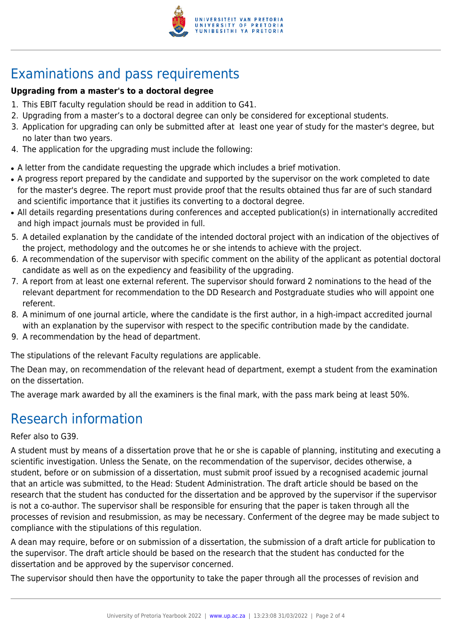

# Examinations and pass requirements

#### **Upgrading from a master's to a doctoral degree**

- 1. This EBIT faculty regulation should be read in addition to G41.
- 2. Upgrading from a master's to a doctoral degree can only be considered for exceptional students.
- 3. Application for upgrading can only be submitted after at least one year of study for the master's degree, but no later than two years.
- 4. The application for the upgrading must include the following:
- A letter from the candidate requesting the upgrade which includes a brief motivation.
- A progress report prepared by the candidate and supported by the supervisor on the work completed to date for the master's degree. The report must provide proof that the results obtained thus far are of such standard and scientific importance that it justifies its converting to a doctoral degree.
- All details regarding presentations during conferences and accepted publication(s) in internationally accredited and high impact journals must be provided in full.
- 5. A detailed explanation by the candidate of the intended doctoral project with an indication of the objectives of the project, methodology and the outcomes he or she intends to achieve with the project.
- 6. A recommendation of the supervisor with specific comment on the ability of the applicant as potential doctoral candidate as well as on the expediency and feasibility of the upgrading.
- 7. A report from at least one external referent. The supervisor should forward 2 nominations to the head of the relevant department for recommendation to the DD Research and Postgraduate studies who will appoint one referent.
- 8. A minimum of one journal article, where the candidate is the first author, in a high-impact accredited journal with an explanation by the supervisor with respect to the specific contribution made by the candidate.
- 9. A recommendation by the head of department.

The stipulations of the relevant Faculty regulations are applicable.

The Dean may, on recommendation of the relevant head of department, exempt a student from the examination on the dissertation.

The average mark awarded by all the examiners is the final mark, with the pass mark being at least 50%.

# Research information

#### Refer also to G39.

A student must by means of a dissertation prove that he or she is capable of planning, instituting and executing a scientific investigation. Unless the Senate, on the recommendation of the supervisor, decides otherwise, a student, before or on submission of a dissertation, must submit proof issued by a recognised academic journal that an article was submitted, to the Head: Student Administration. The draft article should be based on the research that the student has conducted for the dissertation and be approved by the supervisor if the supervisor is not a co-author. The supervisor shall be responsible for ensuring that the paper is taken through all the processes of revision and resubmission, as may be necessary. Conferment of the degree may be made subject to compliance with the stipulations of this regulation.

A dean may require, before or on submission of a dissertation, the submission of a draft article for publication to the supervisor. The draft article should be based on the research that the student has conducted for the dissertation and be approved by the supervisor concerned.

The supervisor should then have the opportunity to take the paper through all the processes of revision and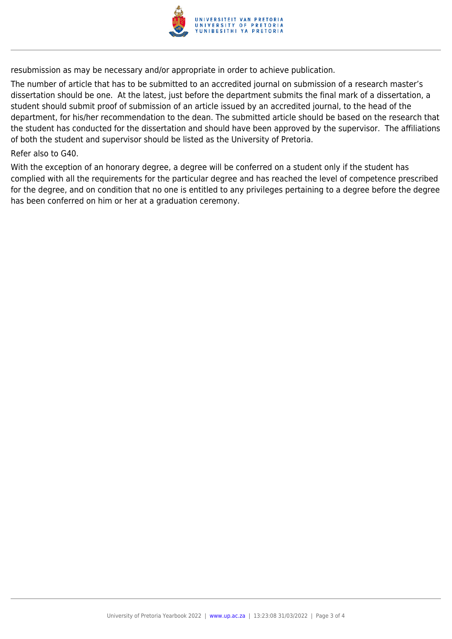

resubmission as may be necessary and/or appropriate in order to achieve publication.

The number of article that has to be submitted to an accredited journal on submission of a research master's dissertation should be one. At the latest, just before the department submits the final mark of a dissertation, a student should submit proof of submission of an article issued by an accredited journal, to the head of the department, for his/her recommendation to the dean. The submitted article should be based on the research that the student has conducted for the dissertation and should have been approved by the supervisor. The affiliations of both the student and supervisor should be listed as the University of Pretoria.

#### Refer also to G40.

With the exception of an honorary degree, a degree will be conferred on a student only if the student has complied with all the requirements for the particular degree and has reached the level of competence prescribed for the degree, and on condition that no one is entitled to any privileges pertaining to a degree before the degree has been conferred on him or her at a graduation ceremony.